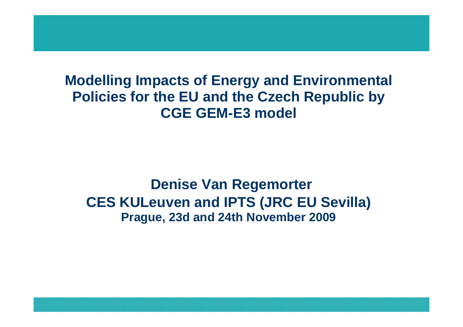#### **Modelling Impacts of Energy and Environmental Policies for the EU and the Czech Republic by CGE GEM-E3 model**

#### **Denise Van RegemorterCES KULeuven and IPTS (JRC EU Sevilla)Prague, 23d and 24th November 2009**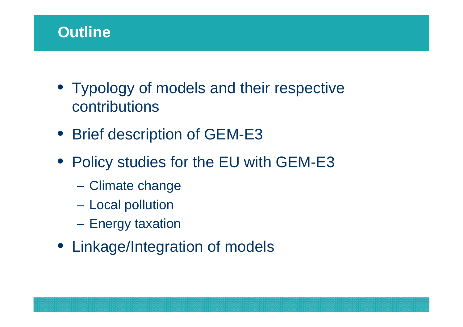# **Outline**

- Typology of models and their respective contributions
- Brief description of GEM-E3
- Policy studies for the EU with GEM-E3
	- –Climate change
	- –Local pollution
	- –Energy taxation
- Linkage/Integration of models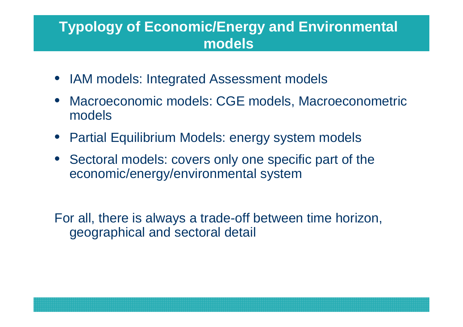#### **Typology of Economic/Energy and Environmental models**

- IAM models: Integrated Assessment models
- • Macroeconomic models: CGE models, Macroeconometricmodels
- Partial Equilibrium Models: energy system models
- Sectoral models: covers only one specific part of the economic/energy/environmental system

For all, there is always a trade-off between time horizon, geographical and sectoral detail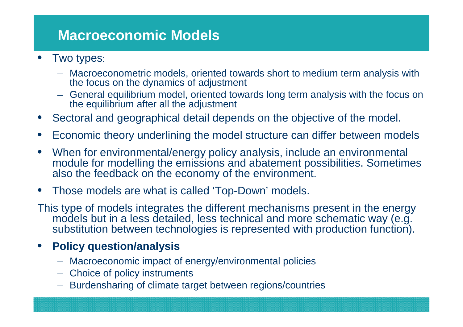#### **Macroeconomic Models**

- • Two types:
	- Macroeconometric models, oriented towards short to medium term analysis with the focus on the dynamics of adjustment
	- General equilibrium model, oriented towards long term analysis with the focus on the equilibrium after all the adjustment
- •Sectoral and geographical detail depends on the objective of the model.
- $\bullet$ Economic theory underlining the model structure can differ between models
- $\bullet$  When for environmental/energy policy analysis, include an environmental module for modelling the emissions and abatement possibilities. Sometimes also the feedback on the economy of the environment.
- •Those models are what is called 'Top-Down' models.

This type of models integrates the different mechanisms present in the energy models but in a less detailed, less technical and more schematic way (e.g. substitution between technologies is represented with production function).

#### •**Policy question/analysis**

- Macroeconomic impact of energy/environmental policies
- Choice of policy instruments
- Burdensharing of climate target between regions/countries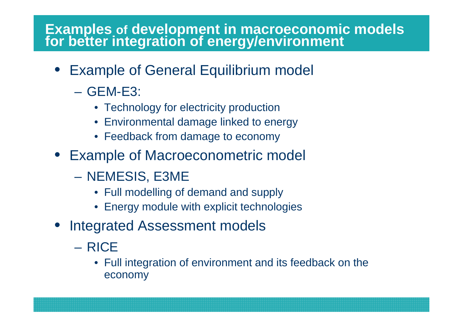# **Examples of development in macroeconomic models for better integration of energy/environment**

- Example of General Equilibrium model
	- $\mathcal{L}_{\mathcal{A}}$  GEM-E3:
		- Technology for electricity production
		- Environmental damage linked to energy
		- Feedback from damage to economy
- Example of Macroeconometric model
	- NEMESIS, E3ME
		- Full modelling of demand and supply
		- Energy module with explicit technologies
- Integrated Assessment models
	- RICE
		- Full integration of environment and its feedback on the economy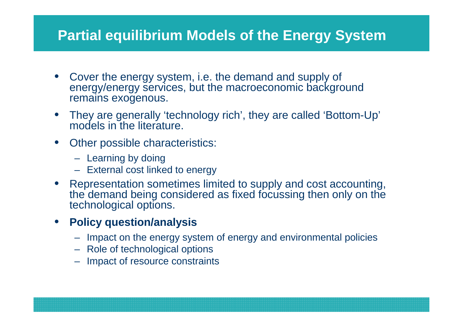# **Partial equilibrium Models of the Energy System**

- Cover the energy system, i.e. the demand and supply of energy/energy services, but the macroeconomic background remains exogenous.
- • They are generally 'technology rich', they are called 'Bottom-Up' models in the literature.
- Other possible characteristics:
	- Learning by doing
	- External cost linked to energy
- Representation sometimes limited to supply and cost accounting, •the demand being considered as fixed focussing then only on the technological options.

#### • **Policy question/analysis**

- Impact on the energy system of energy and environmental policies
- Role of technological options
- Impact of resource constraints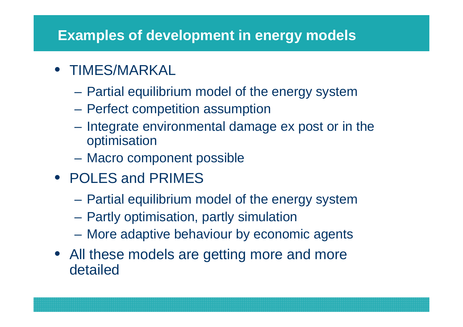# **Examples of development in energy models**

- TIMES/MARKAL
	- $\mathcal{L}_{\mathcal{A}}$ Partial equilibrium model of the energy system
	- Perfect competition assumption
	- Integrate environmental damage ex post or in the optimisation
	- Macro component possible
- POLES and PRIMES
	- Partial equilibrium model of the energy system
	- $\mathcal{L}_{\mathcal{A}}$  , and the set of the set of the set of the set of the set of the set of the set of the set of the set of the set of the set of the set of the set of the set of the set of the set of the set of the set of th Partly optimisation, partly simulation
	- More adaptive behaviour by economic agents
- All these models are getting more and more detailed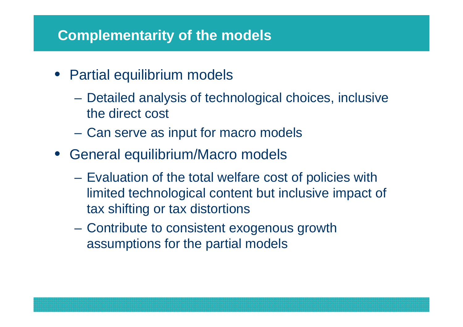#### **Complementarity of the models**

- Partial equilibrium models
	- Detailed analysis of technological choices, inclusive the direct cost
	- Can serve as input for macro models
- General equilibrium/Macro models
	- $\mathcal{L}_{\mathcal{A}}$  Evaluation of the total welfare cost of policies with limited technological content but inclusive impact of tax shifting or tax distortions
	- – Contribute to consistent exogenous growth assumptions for the partial models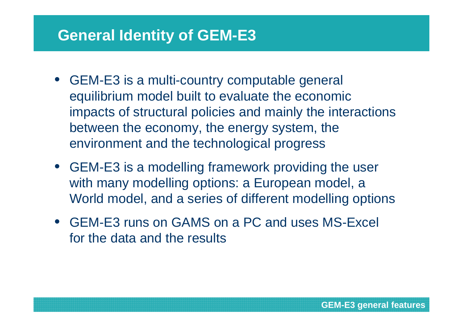# **General Identity of GEM-E3**

- GEM-E3 is a multi-country computable general equilibrium model built to evaluate the economic impacts of structural policies and mainly the interactions between the economy, the energy system, the environment and the technological progress
- GEM-E3 is a modelling framework providing the user with many modelling options: a European model, a World model, and a series of different modelling options
- GEM-E3 runs on GAMS on a PC and uses MS-Excel for the data and the results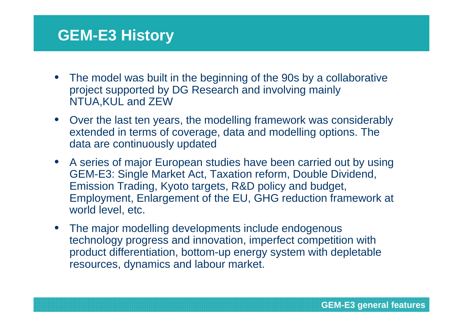# **GEM-E3 History**

- The model was built in the beginning of the 90s by a collaborative project supported by DG Research and involving mainly NTUA,KUL and ZEW
- Over the last ten years, the modelling framework was considerably extended in terms of coverage, data and modelling options. The data are continuously updated
- A series of major European studies have been carried out by using GEM-E3: Single Market Act, Taxation reform, Double Dividend, Emission Trading, Kyoto targets, R&D policy and budget, Employment, Enlargement of the EU, GHG reduction framework at world level, etc.
- The major modelling developments include endogenous technology progress and innovation, imperfect competition with product differentiation, bottom-up energy system with depletableresources, dynamics and labour market.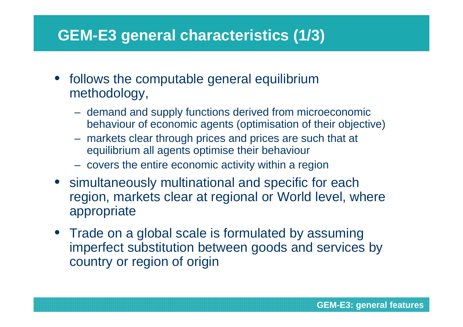# **GEM-E3 general characteristics (1/3)**

- follows the computable general equilibrium methodology,
	- demand and supply functions derived from microeconomic behaviour of economic agents (optimisation of their objective)
	- markets clear through prices and prices are such that at equilibrium all agents optimise their behaviour
	- covers the entire economic activity within a region
- simultaneously multinational and specific for each region, markets clear at regional or World level, where appropriate
- Trade on a global scale is formulated by assuming imperfect substitution between goods and services by country or region of origin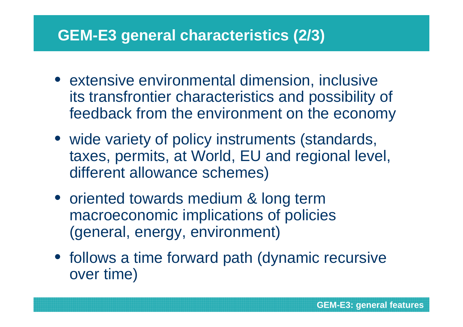# **GEM-E3 general characteristics (2/3)**

- extensive environmental dimension, inclusive its transfrontier characteristics and possibility of feedback from the environment on the economy
- wide variety of policy instruments (standards, taxes, permits, at World, EU and regional level, different allowance schemes)
- oriented towards medium & long term macroeconomic implications of policies (general, energy, environment)
- follows a time forward path (dynamic recursive over time)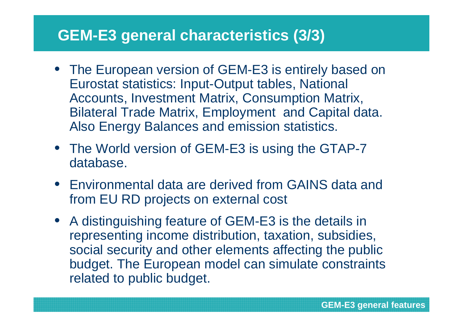# **GEM-E3 general characteristics (3/3)**

- The European version of GEM-E3 is entirely based on Eurostat statistics: Input-Output tables, National Accounts, Investment Matrix, Consumption Matrix, Bilateral Trade Matrix, Employment and Capital data. Also Energy Balances and emission statistics.
- The World version of GEM-E3 is using the GTAP-7 database.
- Environmental data are derived from GAINS data and from EU RD projects on external cost
- A distinguishing feature of GEM-E3 is the details in representing income distribution, taxation, subsidies, social security and other elements affecting the public budget. The European model can simulate constraintsrelated to public budget.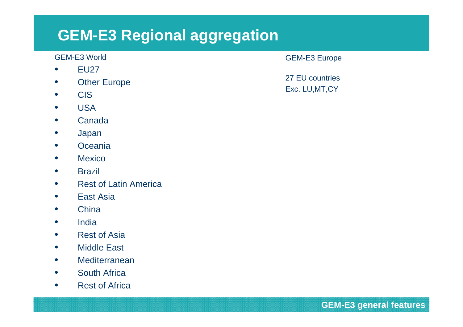# **GEM-E3 Regional aggregation**

#### GEM-E3 World

- $\bullet$ EU27
- **Other Europe**  $\bullet$
- $\bullet$ CIS
- USA $\bullet$
- Canada $\bullet$
- $\bullet$ Japan
- **•** Oceania  $\bullet$
- $\bullet$ **Mexico**
- **•** Brazil  $\bullet$
- $\bullet$ Rest of Latin America
- $\bullet$ East Asia
- $\bullet$ **China**
- India  $\bullet$
- $\bullet$ Rest of Asia
- Middle East  $\bullet$
- $\bullet$ **Mediterranean**
- $\bullet$ South Africa
- Rest of Africa  $\bullet$

#### GEM-E3 Europe

27 EU countries Exc. LU,MT,CY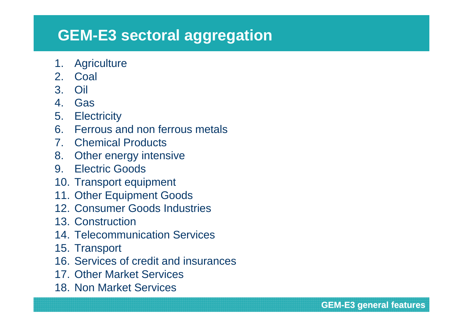# **GEM-E3 sectoral aggregation**

- 1. Agriculture
- 2. Coal
- 3. Oil
- 4. Gas
- 5. Electricity
- 6. Ferrous and non ferrous metals
- 7. Chemical Products
- 8. Other energy intensive
- 9. Electric Goods
- 10. Transport equipment
- 11. Other Equipment Goods
- 12. Consumer Goods Industries
- 13. Construction
- 14. Telecommunication Services
- 15. Transport
- 16. Services of credit and insurances
- 17. Other Market Services
- 18. Non Market Services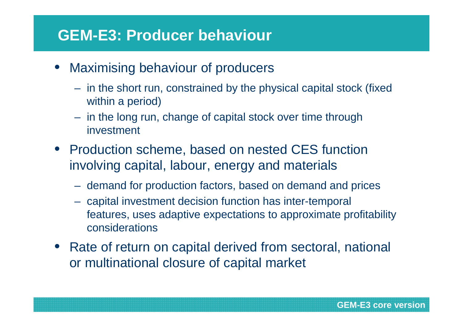# **GEM-E3: Producer behaviour**

- Maximising behaviour of producers
	- in the short run, constrained by the physical capital stock (fixed within a period)
	- in the long run, change of capital stock over time through investment
- Production scheme, based on nested CES function involving capital, labour, energy and materials
	- demand for production factors, based on demand and prices
	- capital investment decision function has inter-temporal features, uses adaptive expectations to approximate profitability considerations
- Rate of return on capital derived from sectoral, national or multinational closure of capital market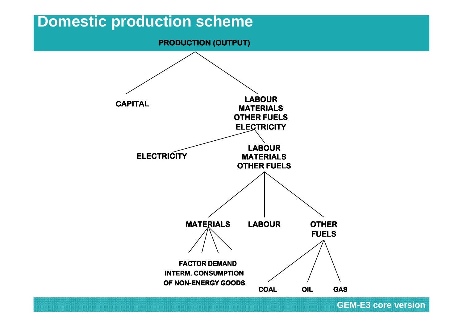

<sup>17</sup> **GEM-E3 core version**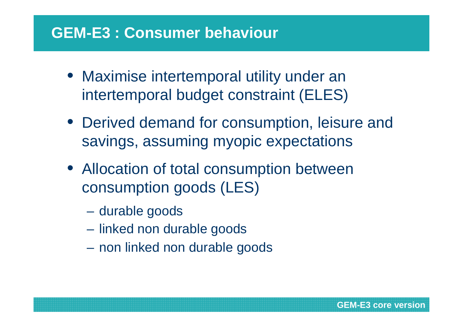# **GEM-E3 : Consumer behaviour**

- Maximise intertemporal utility under an intertemporal budget constraint (ELES)
- Derived demand for consumption, leisure and savings, assuming myopic expectations
- Allocation of total consumption between consumption goods (LES)
	- **Hart Committee** durable goods
	- **Hart Committee** linked non durable goods
	- –non linked non durable goods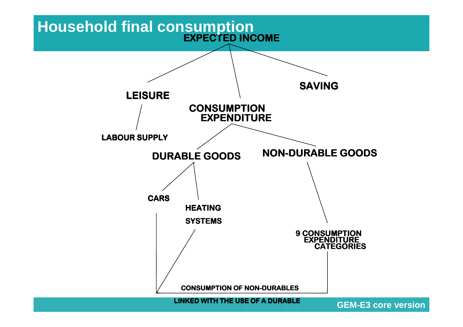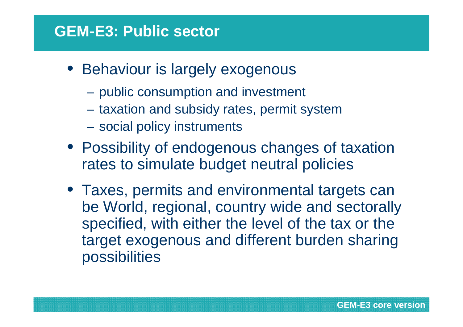# **GEM-E3: Public sector**

- Behaviour is largely exogenous
	- $\mathcal{L}_{\mathcal{A}}$  , and the set of  $\mathcal{L}_{\mathcal{A}}$ public consumption and investment
	- $\mathcal{L}_{\mathcal{A}}$ taxation and subsidy rates, permit system
	- $\mathcal{L}_{\mathcal{A}}$ social policy instruments
- Possibility of endogenous changes of taxation rates to simulate budget neutral policies
- Taxes, permits and environmental targets can be World, regional, country wide and sectorally specified, with either the level of the tax or the target exogenous and different burden sharing possibilities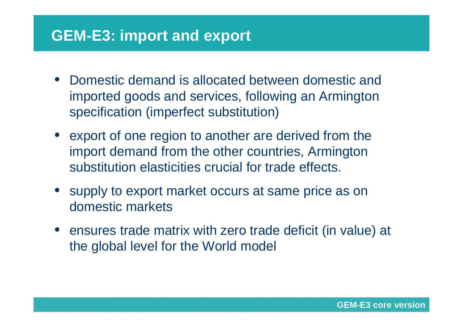# **GEM-E3: import and export**

- Domestic demand is allocated between domestic and imported goods and services, following an Armingtonspecification (imperfect substitution)
- export of one region to another are derived from the import demand from the other countries, Armingtonsubstitution elasticities crucial for trade effects.
- supply to export market occurs at same price as on domestic markets
- ensures trade matrix with zero trade deficit (in value) at the global level for the World model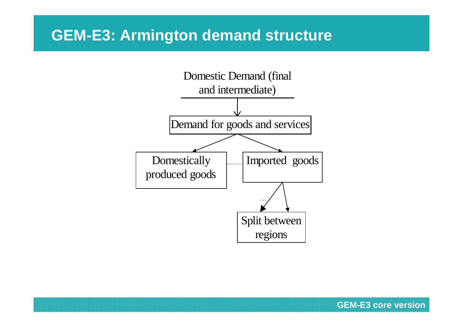# **GEM-E3: Armington demand structure**

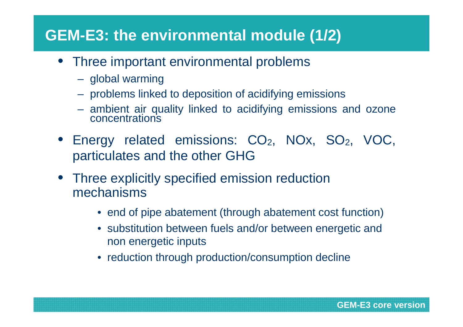# **GEM-E3: the environmental module (1/2)**

- Three important environmental problems
	- global warming
	- problems linked to deposition of acidifying emissions
	- ambient air quality linked to acidifying emissions and ozone concentrations
- Energy related emissions:  $CO<sub>2</sub>$ , NOx, SO<sub>2</sub>, VOC, particulates and the other GHG
- Three explicitly specified emission reduction mechanisms
	- end of pipe abatement (through abatement cost function)
	- substitution between fuels and/or between energetic and non energetic inputs
	- reduction through production/consumption decline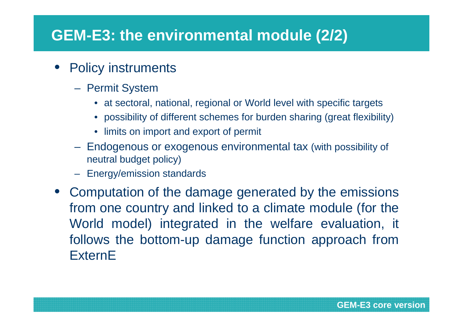# **GEM-E3: the environmental module (2/2)**

- Policy instruments
	- Permit System
		- at sectoral, national, regional or World level with specific targets
		- possibility of different schemes for burden sharing (great flexibility)
		- limits on import and export of permit
	- Endogenous or exogenous environmental tax (with possibility of neutral budget policy)
	- Energy/emission standards
- Computation of the damage generated by the emissions from one country and linked to a climate module (for the World model) integrated in the welfare evaluation, it follows the bottom-up damage function approach from**ExternE**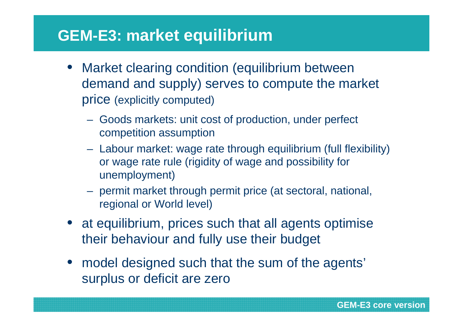# **GEM-E3: market equilibrium**

- Market clearing condition (equilibrium between demand and supply) serves to compute the market price (explicitly computed)
	- **Hart Communication**  Goods markets: unit cost of production, under perfect competition assumption
	- – Labour market: wage rate through equilibrium (full flexibility) or wage rate rule (rigidity of wage and possibility for unemployment)
	- **Hart Communication**  permit market through permit price (at sectoral, national, regional or World level)
- at equilibrium, prices such that all agents optimise their behaviour and fully use their budget
- model designed such that the sum of the agents' surplus or deficit are zero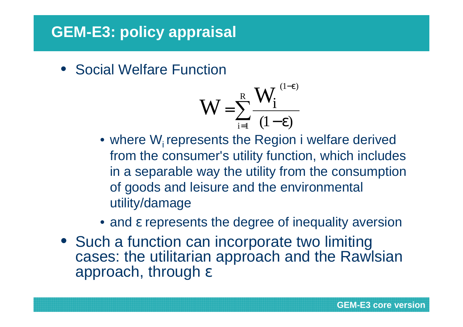# **GEM-E3: policy appraisal**

• Social Welfare Function

$$
W=\sum_{i=1}^R\frac{W_i^{(1-\epsilon)}}{(1-\epsilon)}
$$

- $\bullet$  where W<sub>i</sub> represents the Region i welfare derived from the consumer's utility function, which includes in a separable way the utility from the consumptionof goods and leisure and the environmental utility/damage
- and ε represents the degree of inequality aversion
- Such a function can incorporate two limiting cases: the utilitarian approach and the Rawlsianapproach, through ε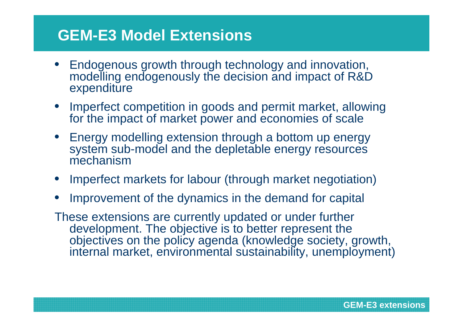# **GEM-E3 Model Extensions**

- • Endogenous growth through technology and innovation, modelling endogenously the decision and impact of R&D expenditure
- Imperfect competition in goods and permit market, allowing for the impact of market power and economies of scale
- Energy modelling extension through a bottom up energy system sub-model and the depletable energy resourcesmechanism
- Imperfect markets for labour (through market negotiation)
- •Improvement of the dynamics in the demand for capital

These extensions are currently updated or under further development. The objective is to better represent the objectives on the policy agenda (knowledge society, growth, internal market, environmental sustainability, unemployment)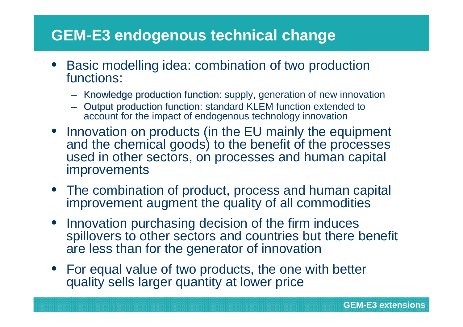# **GEM-E3 endogenous technical change**

- • Basic modelling idea: combination of two productionfunctions:
	- Knowledge production function: supply, generation of new innovation
	- Output production function: standard KLEM function account for the impact of endogenous technology innovation
- Innovation on products (in the EU mainly the equipment and the chemical goods) to the benefit of the processes used in other sectors, on processes and human capital improvements
- The combination of product, process and human capital improvement augment the quality of all commodities
- Innovation purchasing decision of the firm induces spillovers to other sectors and countries but there benefit are less than for the generator of innovation
- For equal value of two products, the one with better quality sells larger quantity at lower price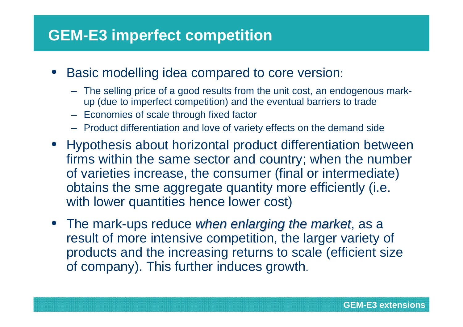# **GEM-E3 imperfect competition**

- • Basic modelling idea compared to core version:
	- The selling price of a good results from the unit cost, an endogenous markup (due to imperfect competition) and the eventual barriers to trade
	- Economies of scale through fixed factor
	- Product differentiation and love of variety effects on the demand side
- Hypothesis about horizontal product differentiation between firms within the same sector and country; when the number of varieties increase, the consumer (final or intermediate) obtains the sme aggregate quantity more efficiently (i.e. with lower quantities hence lower cost)
- The mark-ups reduce when enlarging the market, as a result of more intensive competition, the larger variety of products and the increasing returns to scale (efficient size of company). This further induces growth.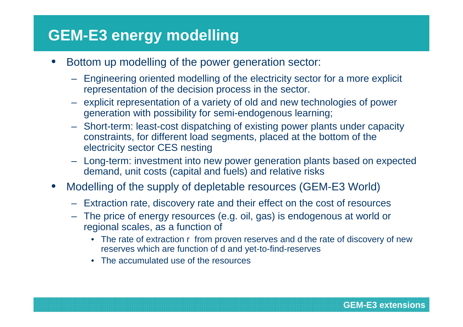# **GEM-E3 energy modelling**

- • Bottom up modelling of the power generation sector:
	- Engineering oriented modelling of the electricity sector for a more explicit representation of the decision process in the sector.
	- explicit representation of a variety of old and new technologies of power generation with possibility for semi-endogenous learning;
	- Short-term: least-cost dispatching of existing power plants under capacity constraints, for different load segments, placed at the bottom of the electricity sector CES nesting
	- Long-term: investment into new power generation plants based on expected demand, unit costs (capital and fuels) and relative risks
- $\bullet$  Modelling of the supply of depletable resources (GEM-E3 World)
	- Extraction rate, discovery rate and their effect on the cost of resources
	- The price of energy resources (e.g. oil, gas) is endogenous at world or regional scales, as a function of
		- The rate of extraction r from proven reserves and d the rate of discovery of new reserves which are function of d and yet-to-find-reserves
		- The accumulated use of the resources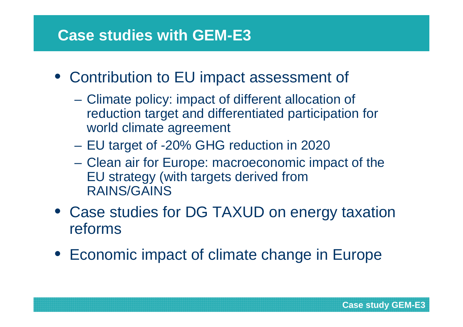# **Case studies with GEM-E3**

- Contribution to EU impact assessment of
	- $\mathcal{L}_{\mathcal{A}}$  , and the set of the set of the set of the set of the set of the set of the set of the set of the set of the set of the set of the set of the set of the set of the set of the set of the set of the set of th Climate policy: impact of different allocation of reduction target and differentiated participation for world climate agreement
	- $\mathcal{L}_{\mathcal{A}}$  , and the set of the set of the set of the set of the set of the set of the set of the set of the set of the set of the set of the set of the set of the set of the set of the set of the set of the set of th EU target of -20% GHG reduction in 2020
	- Clean air for Europe: macroeconomic impact of the EU strategy (with targets derived from RAINS/GAINS
- Case studies for DG TAXUD on energy taxation reforms
- Economic impact of climate change in Europe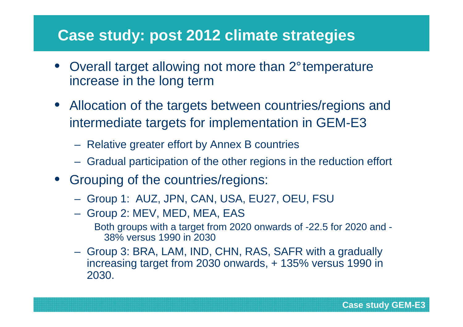- Overall target allowing not more than 2°temperatureincrease in the long term
- Allocation of the targets between countries/regions and intermediate targets for implementation in GEM-E3
	- Relative greater effort by Annex B countries
	- Gradual participation of the other regions in the reduction effort
- Grouping of the countries/regions:
	- Group 1: AUZ, JPN, CAN, USA, EU27, OEU, FSU
	- Group 2: MEV, MED, MEA, EAS Both groups with a target from 2020 onwards of -22.5 for 2020 and -38% versus 1990 in 2030
	- Group 3: BRA, LAM, IND, CHN, RAS, SAFR with a gradually increasing target from 2030 onwards, + 135% versus 1990 in 2030.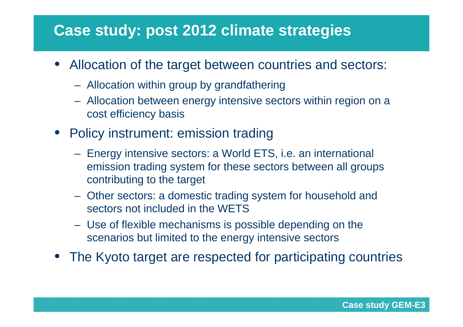- • Allocation of the target between countries and sectors:
	- Allocation within group by grandfathering
	- Allocation between energy intensive sectors within region on a cost efficiency basis
- Policy instrument: emission trading
	- Energy intensive sectors: a World ETS, i.e. an international emission trading system for these sectors between all groups contributing to the target
	- Other sectors: a domestic trading system for household and sectors not included in the WETS
	- Use of flexible mechanisms is possible depending on the scenarios but limited to the energy intensive sectors
- The Kyoto target are respected for participating countries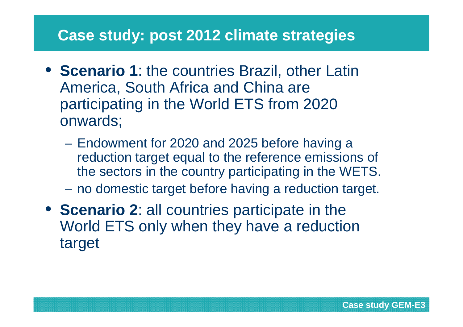- **Scenario 1**: the countries Brazil, other Latin America, South Africa and China are participating in the World ETS from 2020 onwards;
	- $\mathcal{L}_{\mathcal{A}}$  , and the set of  $\mathcal{L}_{\mathcal{A}}$  Endowment for 2020 and 2025 before having a reduction target equal to the reference emissions of the sectors in the country participating in the WETS.
	- $\mathcal{L}_{\mathcal{A}}$ no domestic target before having a reduction target.
- **Scenario 2**: all countries participate in the World ETS only when they have a reduction target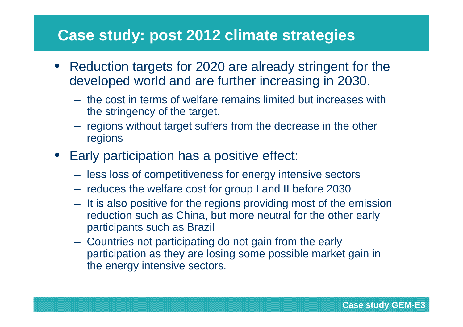- • Reduction targets for 2020 are already stringent for the developed world and are further increasing in 2030.
	- the cost in terms of welfare remains limited but increases with the stringency of the target.
	- regions without target suffers from the decrease in the other regions
- Early participation has a positive effect:
	- less loss of competitiveness for energy intensive sectors
	- reduces the welfare cost for group I and II before 2030
	- It is also positive for the regions providing most of the emission reduction such as China, but more neutral for the other early participants such as Brazil
	- Countries not participating do not gain from the early participation as they are losing some possible market gain in the energy intensive sectors.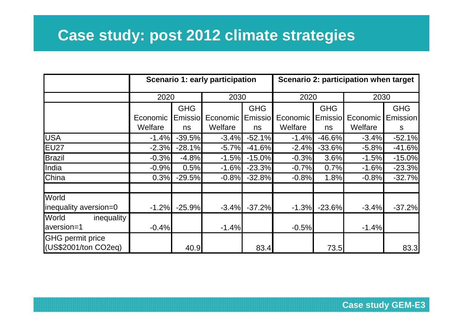|                                                 |          |            | Scenario 1: early participation |            | Scenario 2: participation when target |            |          |            |  |  |
|-------------------------------------------------|----------|------------|---------------------------------|------------|---------------------------------------|------------|----------|------------|--|--|
|                                                 | 2020     |            | 2030                            |            | 2020                                  |            | 2030     |            |  |  |
|                                                 |          | <b>GHG</b> |                                 | <b>GHG</b> |                                       | <b>GHG</b> |          | <b>GHG</b> |  |  |
|                                                 | Economic | Emissio    | Economic                        | Emissio    | Economic                              | Emissio    | Economic | Emission   |  |  |
|                                                 | Welfare  | ns         | Welfare                         | ns         | Welfare                               | ns         | Welfare  | S          |  |  |
| <b>USA</b>                                      | $-1.4%$  | $-39.5%$   | $-3.4%$                         | $-52.1%$   | $-1.4%$                               | $-46.6%$   | $-3.4%$  | $-52.1%$   |  |  |
| EU27                                            | $-2.3%$  | $-28.1%$   | $-5.7%$                         | $-41.6%$   | $-2.4%$                               | $-33.6%$   | $-5.8%$  | $-41.6%$   |  |  |
| <b>Brazil</b>                                   | $-0.3%$  | $-4.8%$    | $-1.5%$                         | $-15.0%$   | $-0.3%$                               | 3.6%       | $-1.5%$  | $-15.0%$   |  |  |
| India                                           | $-0.9%$  | 0.5%       | $-1.6%$                         | $-23.3%$   | $-0.7%$                               | 0.7%       | $-1.6%$  | $-23.3%$   |  |  |
| China                                           | 0.3%     | $-29.5%$   | $-0.8%$                         | $-32.8%$   | $-0.8%$                               | 1.8%       | $-0.8%$  | $-32.7%$   |  |  |
| World                                           |          |            |                                 |            |                                       |            |          |            |  |  |
| inequality aversion=0                           | $-1.2%$  | $-25.9%$   | $-3.4%$                         | $-37.2%$   | $-1.3%$                               | $-23.6%$   | $-3.4%$  | $-37.2%$   |  |  |
| World<br>inequality                             |          |            |                                 |            |                                       |            |          |            |  |  |
| aversion=1                                      | $-0.4%$  |            | $-1.4%$                         |            | $-0.5%$                               |            | $-1.4%$  |            |  |  |
| <b>GHG</b> permit price<br>(US\$2001/ton CO2eq) |          | 40.9       |                                 | 83.4       |                                       | 73.5       |          | 83.3       |  |  |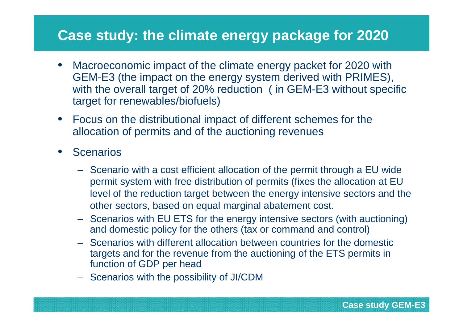#### **Case study: the climate energy package for 2020**

- $\bullet$  Macroeconomic impact of the climate energy packet for 2020 with GEM-E3 (the impact on the energy system derived with PRIMES), with the overall target of 20% reduction ( in GEM-E3 without specific target for renewables/biofuels)
- Focus on the distributional impact of different schemes for the allocation of permits and of the auctioning revenues
- $\bullet$ **Scenarios** 
	- Scenario with a cost efficient allocation of the permit through a EU wide permit system with free distribution of permits (fixes the allocation at EU level of the reduction target between the energy intensive sectors and the other sectors, based on equal marginal abatement cost.
	- Scenarios with EU ETS for the energy intensive sectors (with auctioning) and domestic policy for the others (tax or command and control)
	- Scenarios with different allocation between countries for the domestic targets and for the revenue from the auctioning of the ETS permits in function of GDP per head
	- Scenarios with the possibility of JI/CDM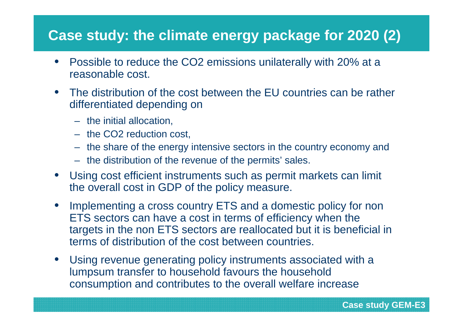#### **Case study: the climate energy package for 2020 (2)**

- Possible to reduce the CO2 emissions unilaterally with 20% at a reasonable cost.
- The distribution of the cost between the EU countries can be rather differentiated depending on
	- the initial allocation,
	- the CO2 reduction cost,
	- the share of the energy intensive sectors in the country economy and
	- the distribution of the revenue of the permits' sales.
- Using cost efficient instruments such as permit markets can limit the overall cost in GDP of the policy measure.
- Implementing a cross country ETS and a domestic policy for non ETS sectors can have a cost in terms of efficiency when the targets in the non ETS sectors are reallocated but it is beneficial in terms of distribution of the cost between countries.
- Using revenue generating policy instruments associated with a lumpsum transfer to household favours the household consumption and contributes to the overall welfare increase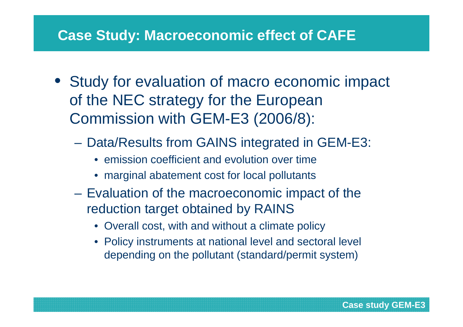#### **Case Study: Macroeconomic effect of CAFE**

- Study for evaluation of macro economic impact of the NEC strategy for the European Commission with GEM-E3 (2006/8):
	- Data/Results from GAINS integrated in GEM-E3:
		- emission coefficient and evolution over time
		- marginal abatement cost for local pollutants
	- Evaluation of the macroeconomic impact of the reduction target obtained by RAINS
		- Overall cost, with and without a climate policy
		- Policy instruments at national level and sectoral level depending on the pollutant (standard/permit system)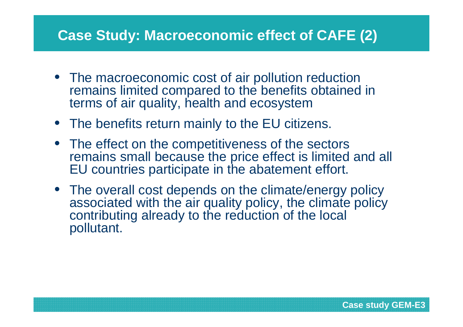# **Case Study: Macroeconomic effect of CAFE (2)**

- The macroeconomic cost of air pollution reduction remains limited compared to the benefits obtained in terms of air quality, health and ecosystem
- The benefits return mainly to the EU citizens.
- The effect on the competitiveness of the sectors remains small because the price effect is limited and all EU countries participate in the abatement effort.
- The overall cost depends on the climate/energy policy associated with the air quality policy, the climate policy contributing already to the reduction of the local pollutant.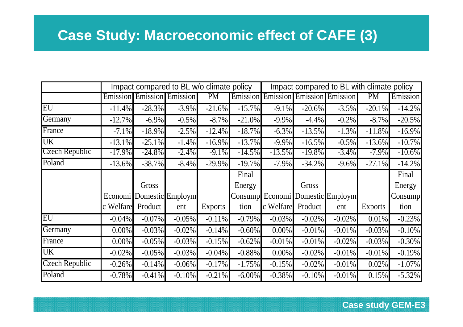# **Case Study: Macroeconomic effect of CAFE (3)**

|                       | Impact compared to BL w/o climate policy |           |                          |                |                 | Impact compared to BL with climate policy |                                   |                          |                |                |
|-----------------------|------------------------------------------|-----------|--------------------------|----------------|-----------------|-------------------------------------------|-----------------------------------|--------------------------|----------------|----------------|
|                       | Emission                                 |           | <b>Emission</b> Emission | PM             | Emission        |                                           | <b>Emission Emission Emission</b> |                          | <b>PM</b>      | Emission       |
| EU                    | $-11.4%$                                 | $-28.3%$  | $-3.9\%$                 | $-21.6%$       | $-15.7\%$       | $-9.1\%$                                  | $-20.6%$                          | $-3.5%$                  | $-20.1%$       | $-14.2%$       |
| Germany               | $-12.7%$                                 | $-6.9\%$  | $-0.5%$                  | $-8.7\%$       | $-21.0%$        | $-9.9\%$                                  | $-4.4%$                           | $-0.2\%$                 | $-8.7\%$       | $-20.5%$       |
| France                | $-7.1%$                                  | $-18.9%$  | $-2.5%$                  | $-12.4%$       | $-18.7%$        | $-6.3%$                                   | $-13.5%$                          | $-1.3%$                  | $-11.8%$       | $-16.9%$       |
| UK                    | $-13.1%$                                 | $-25.1%$  | $-1.4%$                  | $-16.9\%$      | $-13.7%$        | $-9.9\%$                                  | $-16.5%$                          | $-0.5\%$                 | $-13.6%$       | $-10.7%$       |
| Czech Republic        | $-17.9\%$                                | -24.8%    | $-2.4\%$                 | $-9.1\%$       | $-14.5\%$       | $-13.5\%$                                 | -19.8%                            | $-3.4\%$                 | -7.9%          | $-10.6\%$      |
| Poland                | $-13.6%$                                 | $-38.7%$  | $-8.4\%$                 | $-29.9\%$      | $-19.7%$        | $-7.9\%$                                  | $-34.2%$                          | $-9.6\%$                 | $-27.1%$       | $-14.2%$       |
|                       |                                          |           |                          |                | Final           |                                           |                                   |                          |                | Final          |
|                       |                                          | Gross     |                          |                | Energy          |                                           | Gross                             |                          |                | Energy         |
|                       | Economi <sup>1</sup>                     |           | Domestic Employm         |                | <b>Consumpl</b> |                                           |                                   | Economi Domestic Employm |                | <b>Consump</b> |
|                       | c Welfare                                | Product   | ent                      | <b>Exports</b> | tion            | c Welfare                                 | Product                           | ent                      | <b>Exports</b> | tion           |
| EU                    | $-0.04\%$                                | $-0.07\%$ | $-0.05%$                 | $-0.11\%$      | $-0.79\%$       | $-0.03%$                                  | $-0.02%$                          | $-0.02\%$                | 0.01%          | $-0.23%$       |
| Germany               | $0.00\%$                                 | $-0.03%$  | $-0.02%$                 | $-0.14%$       | $-0.60%$        | $0.00\%$                                  | $-0.01%$                          | $-0.01%$                 | $-0.03\%$      | $-0.10%$       |
| France                | $0.00\%$                                 | $-0.05%$  | $-0.03\%$                | $-0.15%$       | $-0.62%$        | $-0.01%$                                  | $-0.01%$                          | $-0.02\%$                | $-0.03\%$      | $-0.30%$       |
| <b>UK</b>             | $-0.02%$                                 | $-0.05\%$ | $-0.03%$                 | $-0.04\%$      | $-0.88%$        | $0.00\%$                                  | $-0.02%$                          | $-0.01\%$                | $-0.01\%$      | $-0.19%$       |
| <b>Czech Republic</b> | $-0.26%$                                 | $-0.14%$  | $-0.06\%$                | $-0.17%$       | $-1.75%$        | $-0.15%$                                  | $-0.02%$                          | $-0.01\%$                | $0.02\%$       | $-1.07%$       |
| Poland                | $-0.78%$                                 | $-0.41%$  | $-0.10\%$                | $-0.21%$       | $-6.00\%$       | $-0.38%$                                  | $-0.10%$                          | $-0.01%$                 | 0.15%          | $-5.32%$       |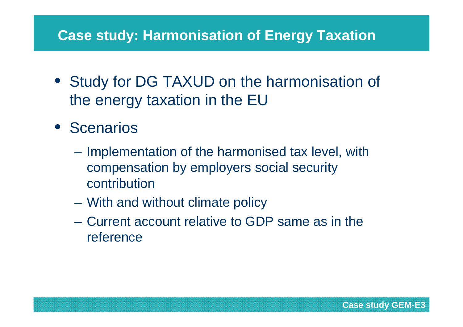# **Case study: Harmonisation of Energy Taxation**

- Study for DG TAXUD on the harmonisation of the energy taxation in the EU
- Scenarios
	- Implementation of the harmonised tax level, with compensation by employers social security contribution
	- $\mathcal{L}_{\mathcal{A}}$  , and the set of the set of the set of the set of the set of the set of the set of the set of the set of the set of the set of the set of the set of the set of the set of the set of the set of the set of th With and without climate policy
	- $\mathcal{L}_{\mathcal{A}}$  , and the set of the set of the set of the set of the set of the set of the set of the set of the set of the set of the set of the set of the set of the set of the set of the set of the set of the set of th Current account relative to GDP same as in the reference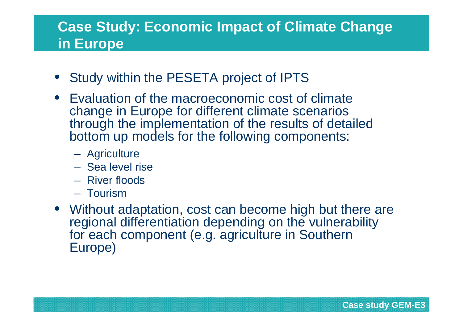# **Case Study: Economic Impact of Climate Change in Europe**

- Study within the PESETA project of IPTS
- Evaluation of the macroeconomic cost of climate change in Europe for different climate scenarios through the implementation of the results of detailed bottom up models for the following components:
	- **Agriculture**
	- –Sea level rise
	- River floods
	- **Tourism**
- Without adaptation, cost can become high but there are regional differentiation depending on the vulnerability for each component (e.g. agriculture in Southern Europe)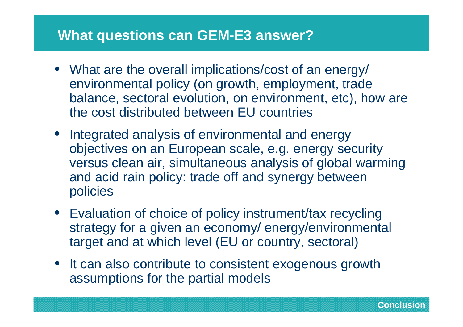#### **What questions can GEM-E3 answer?**

- What are the overall implications/cost of an energy/ environmental policy (on growth, employment, trade balance, sectoral evolution, on environment, etc), how are the cost distributed between EU countries
- Integrated analysis of environmental and energy objectives on an European scale, e.g. energy security versus clean air, simultaneous analysis of global warming and acid rain policy: trade off and synergy betweenpolicies
- Evaluation of choice of policy instrument/tax recycling strategy for a given an economy/ energy/environmental target and at which level (EU or country, sectoral)
- It can also contribute to consistent exogenous growth assumptions for the partial models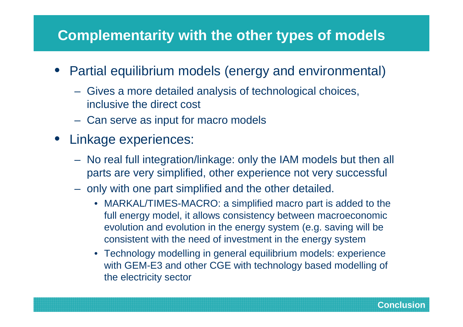#### **Complementarity with the other types of models**

- Partial equilibrium models (energy and environmental)
	- Gives a more detailed analysis of technological choices, inclusive the direct cost
	- Can serve as input for macro models
- Linkage experiences:
	- No real full integration/linkage: only the IAM models but then all parts are very simplified, other experience not very successful
	- only with one part simplified and the other detailed.
		- MARKAL/TIMES-MACRO: a simplified macro part is added to the full energy model, it allows consistency between macroeconomic evolution and evolution in the energy system (e.g. saving will be consistent with the need of investment in the energy system
		- Technology modelling in general equilibrium models: experience with GEM-E3 and other CGE with technology based modelling of the electricity sector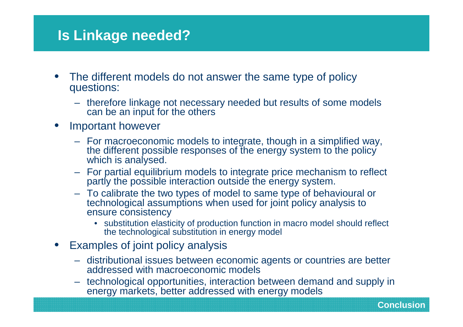#### **Is Linkage needed?**

- The different models do not answer the same type of policy questions:
	- therefore linkage not necessary needed but results of some models can be an input for the others
- • Important however
	- For macroeconomic models to integrate, though in a simplified way, the different possible responses of the energy system to the policy which is analysed.
	- For partial equilibrium models to integrate price mechanism to reflect partly the possible interaction outside the energy system.
	- To calibrate the two types of model to same type of behavioural or technological assumptions when used for joint policy analysis to ensure consistency
		- substitution elasticity of production function in macro model should reflect the technological substitution in energy model
- • Examples of joint policy analysis
	- distributional issues between economic agents or countries are better addressed with macroeconomic models
	- technological opportunities, interaction between demand and supply in energy markets, better addressed with energy models

46 **Conclusion**